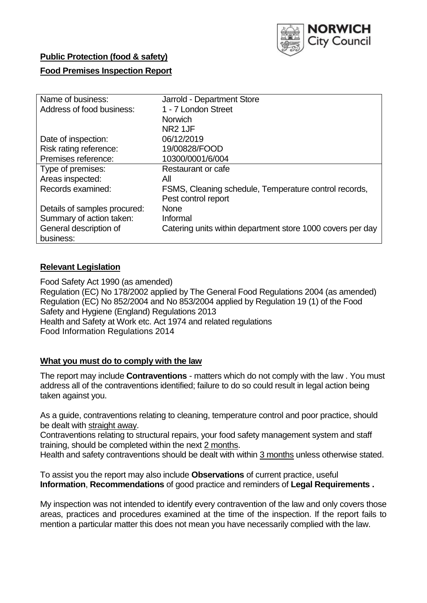

## **Public Protection (food & safety)**

### **Food Premises Inspection Report**

| Name of business:            | Jarrold - Department Store                                 |
|------------------------------|------------------------------------------------------------|
| Address of food business:    | 1 - 7 London Street                                        |
|                              | <b>Norwich</b>                                             |
|                              | NR <sub>2</sub> 1JF                                        |
| Date of inspection:          | 06/12/2019                                                 |
| Risk rating reference:       | 19/00828/FOOD                                              |
| Premises reference:          | 10300/0001/6/004                                           |
| Type of premises:            | Restaurant or cafe                                         |
| Areas inspected:             | All                                                        |
| Records examined:            | FSMS, Cleaning schedule, Temperature control records,      |
|                              | Pest control report                                        |
| Details of samples procured: | <b>None</b>                                                |
| Summary of action taken:     | Informal                                                   |
| General description of       | Catering units within department store 1000 covers per day |
| business:                    |                                                            |

## **Relevant Legislation**

Food Safety Act 1990 (as amended) Regulation (EC) No 178/2002 applied by The General Food Regulations 2004 (as amended) Regulation (EC) No 852/2004 and No 853/2004 applied by Regulation 19 (1) of the Food Safety and Hygiene (England) Regulations 2013 Health and Safety at Work etc. Act 1974 and related regulations Food Information Regulations 2014

### **What you must do to comply with the law**

The report may include **Contraventions** - matters which do not comply with the law . You must address all of the contraventions identified; failure to do so could result in legal action being taken against you.

As a guide, contraventions relating to cleaning, temperature control and poor practice, should be dealt with straight away.

Contraventions relating to structural repairs, your food safety management system and staff training, should be completed within the next 2 months.

Health and safety contraventions should be dealt with within 3 months unless otherwise stated.

To assist you the report may also include **Observations** of current practice, useful **Information**, **Recommendations** of good practice and reminders of **Legal Requirements .**

My inspection was not intended to identify every contravention of the law and only covers those areas, practices and procedures examined at the time of the inspection. If the report fails to mention a particular matter this does not mean you have necessarily complied with the law.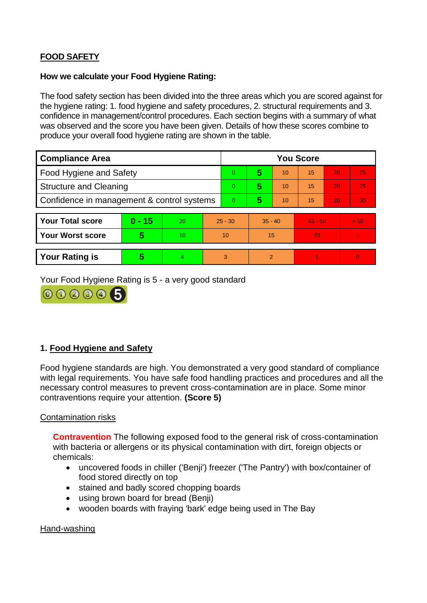# **FOOD SAFETY**

### **How we calculate your Food Hygiene Rating:**

The food safety section has been divided into the three areas which you are scored against for the hygiene rating: 1. food hygiene and safety procedures, 2. structural requirements and 3. confidence in management/control procedures. Each section begins with a summary of what was observed and the score you have been given. Details of how these scores combine to produce your overall food hygiene rating are shown in the table.

| <b>Compliance Area</b>                     |          |                  |    | <b>You Score</b> |                |    |           |    |          |  |  |
|--------------------------------------------|----------|------------------|----|------------------|----------------|----|-----------|----|----------|--|--|
| Food Hygiene and Safety                    |          |                  |    | $\Omega$         | 5              | 10 | 15        | 20 | 25       |  |  |
| <b>Structure and Cleaning</b>              |          |                  | 0  | 5                | 10             | 15 | 20        | 25 |          |  |  |
| Confidence in management & control systems |          |                  | 0  | 5                | 10             | 15 | 20        | 30 |          |  |  |
|                                            |          |                  |    |                  |                |    |           |    |          |  |  |
| <b>Your Total score</b>                    | $0 - 15$ | 20               |    | $25 - 30$        | $35 - 40$      |    | $45 - 50$ |    | > 50     |  |  |
| <b>Your Worst score</b>                    | 5        | 10 <sup>10</sup> | 10 |                  | 15             |    | 20        |    |          |  |  |
|                                            |          |                  |    |                  |                |    |           |    |          |  |  |
| <b>Your Rating is</b>                      | 5        | $\overline{4}$   | 3  |                  | $\overline{2}$ |    |           |    | $\Omega$ |  |  |

Your Food Hygiene Rating is 5 - a very good standard



# **1. Food Hygiene and Safety**

Food hygiene standards are high. You demonstrated a very good standard of compliance with legal requirements. You have safe food handling practices and procedures and all the necessary control measures to prevent cross-contamination are in place. Some minor contraventions require your attention. **(Score 5)**

### Contamination risks

**Contravention** The following exposed food to the general risk of cross-contamination with bacteria or allergens or its physical contamination with dirt, foreign objects or chemicals:

- uncovered foods in chiller ('Benji') freezer ('The Pantry') with box/container of food stored directly on top
- stained and badly scored chopping boards
- using brown board for bread (Benji)
- wooden boards with fraying 'bark' edge being used in The Bay

Hand-washing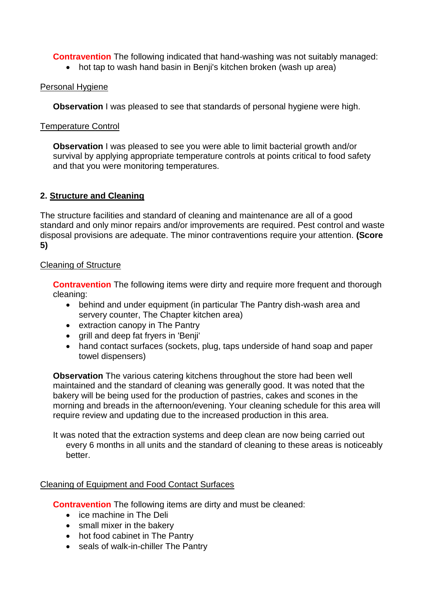**Contravention** The following indicated that hand-washing was not suitably managed:

• hot tap to wash hand basin in Benji's kitchen broken (wash up area)

### Personal Hygiene

**Observation** I was pleased to see that standards of personal hygiene were high.

### Temperature Control

**Observation** I was pleased to see you were able to limit bacterial growth and/or survival by applying appropriate temperature controls at points critical to food safety and that you were monitoring temperatures.

## **2. Structure and Cleaning**

The structure facilities and standard of cleaning and maintenance are all of a good standard and only minor repairs and/or improvements are required. Pest control and waste disposal provisions are adequate. The minor contraventions require your attention. **(Score 5)**

## Cleaning of Structure

**Contravention** The following items were dirty and require more frequent and thorough cleaning:

- behind and under equipment (in particular The Pantry dish-wash area and servery counter, The Chapter kitchen area)
- extraction canopy in The Pantry
- grill and deep fat fryers in 'Benji'
- hand contact surfaces (sockets, plug, taps underside of hand soap and paper towel dispensers)

**Observation** The various catering kitchens throughout the store had been well maintained and the standard of cleaning was generally good. It was noted that the bakery will be being used for the production of pastries, cakes and scones in the morning and breads in the afternoon/evening. Your cleaning schedule for this area will require review and updating due to the increased production in this area.

It was noted that the extraction systems and deep clean are now being carried out every 6 months in all units and the standard of cleaning to these areas is noticeably better.

# Cleaning of Equipment and Food Contact Surfaces

**Contravention** The following items are dirty and must be cleaned:

- ice machine in The Deli
- small mixer in the bakery
- hot food cabinet in The Pantry
- seals of walk-in-chiller The Pantry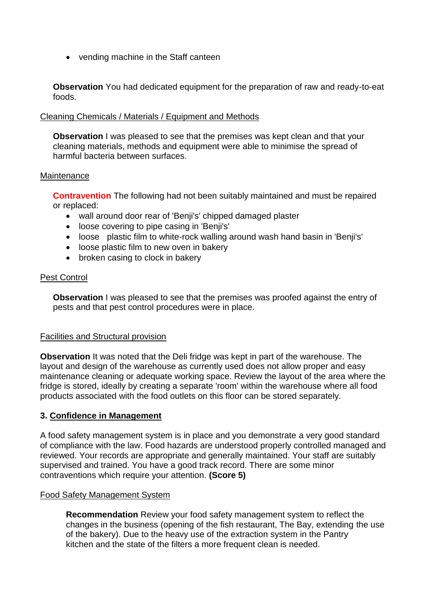• vending machine in the Staff canteen

**Observation** You had dedicated equipment for the preparation of raw and ready-to-eat foods.

### Cleaning Chemicals / Materials / Equipment and Methods

**Observation** I was pleased to see that the premises was kept clean and that your cleaning materials, methods and equipment were able to minimise the spread of harmful bacteria between surfaces.

#### **Maintenance**

**Contravention** The following had not been suitably maintained and must be repaired or replaced:

- wall around door rear of 'Benji's' chipped damaged plaster
- loose covering to pipe casing in 'Benji's'
- loose plastic film to white-rock walling around wash hand basin in 'Benji's'
- loose plastic film to new oven in bakery
- broken casing to clock in bakery

#### **Pest Control**

**Observation** I was pleased to see that the premises was proofed against the entry of pests and that pest control procedures were in place.

### Facilities and Structural provision

**Observation** It was noted that the Deli fridge was kept in part of the warehouse. The layout and design of the warehouse as currently used does not allow proper and easy maintenance cleaning or adequate working space. Review the layout of the area where the fridge is stored, ideally by creating a separate 'room' within the warehouse where all food products associated with the food outlets on this floor can be stored separately.

### **3. Confidence in Management**

A food safety management system is in place and you demonstrate a very good standard of compliance with the law. Food hazards are understood properly controlled managed and reviewed. Your records are appropriate and generally maintained. Your staff are suitably supervised and trained. You have a good track record. There are some minor contraventions which require your attention. **(Score 5)**

### Food Safety Management System

**Recommendation** Review your food safety management system to reflect the changes in the business (opening of the fish restaurant, The Bay, extending the use of the bakery). Due to the heavy use of the extraction system in the Pantry kitchen and the state of the filters a more frequent clean is needed.